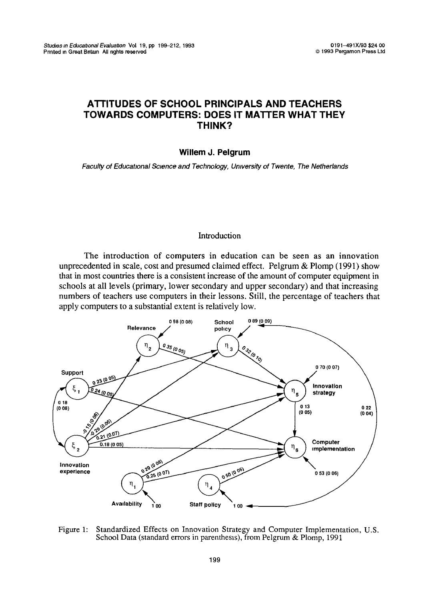# **ATTITUDES OF SCHOOL PRINCIPALS AND TEACHERS TOWARDS COMPUTERS: DOES IT MATTER WHAT THEY THINK?**

# **Willem d. Pelgrum**

*Faculty of Educational Science and Technology, Umversity of Twente, The Netherlands* 

### Introduction

The introduction of computers in education can be seen as an innovation unprecedented in scale, cost and presumed claimed effect. Pelgrum & Plomp (1991) show that in most countries there is a consistent increase of the amount of computer equipment in schools at all levels (primary, lower secondary and upper secondary) and that increasing numbers of teachers use computers in their lessons. Still, the percentage of teachers that apply computers to a substantial extent is relatively low.



Figure 1: Standardized Effects on Innovation Strategy and Computer Implementation, U.S. School Data (standard errors in parenthesis), from Pelgrum & Plomp, 1991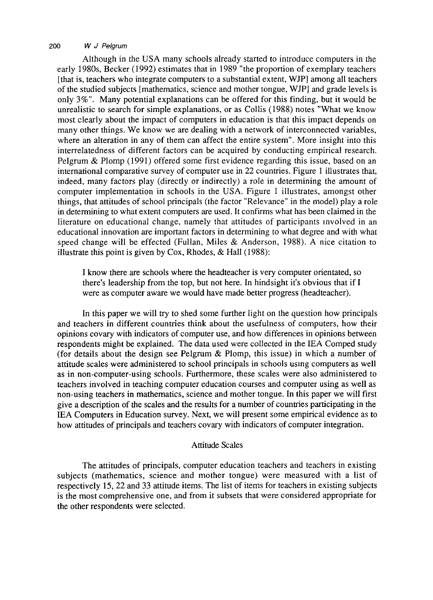#### 200 *W J Pelgrum*

Although in the USA many schools already started to introduce computers in the early 1980s, Becker (1992) estimates that in 1989 "the proportion of exemplary teachers [that is, teachers who integrate computers to a substantial extent, WJP] among all teachers of the studied subjects [mathematics, science and mother tongue, WJP] and grade levels is only 3%". Many potential explanations can be offered for this finding, but it would be unrealistic to search for simple explanations, or as Collis (1988) notes "What we know most clearly about the impact of computers in education is that this impact depends on many other things. We know we are dealing with a network of interconnected variables, where an alteration in any of them can affect the entire system". More insight into this interrelatedness of different factors can be acquired by conducting empirical research. Pelgrum & Plomp (1991) offered some first evidence regarding this issue, based on an international comparative survey of computer use in 22 countries. Figure 1 illustrates that, indeed, many factors play (directly or indirectly) a role in determining the amount of computer implementation in schools in the USA. Figure 1 illustrates, amongst other things, that attitudes of school principals (the factor "Relevance" in the model) play a role in determining to what extent computers are used. It confirms what has been claimed in the literature on educational change, namely that attitudes of participants involved in an educational innovation are important factors in determining to what degree and with what speed change will be effected (Fullan, Miles & Anderson, 1988). A nice citation to illustrate this point is given by Cox, Rhodes, & Hall (1988):

I know there are schools where the headteacher is very computer orientated, so there's leadership from the top, but not here. In hindsight it's obvious that if I were as computer aware we would have made better progress (headteacher).

In this paper we will try to shed some further light on the question how principals and teachers in different countries think about the usefulness of computers, how their opinions covary with indicators of computer use, and how differences in opinions between respondents might be explained. The data used were collected in the lEA Comped study (for details about the design see Pelgrum & Plomp, this issue) in which a number of attitude scales were administered to school principals in schools using computers as well as in non-computer-using schools. Furthermore, these scales were also administered to teachers involved in teaching computer education courses and computer using as well as non-using teachers in mathematics, science and mother tongue. In this paper we will first give a description of the scales and the results for a number of countries participating in the lEA Computers in Education survey. Next, we will present some empirical evidence as to how attitudes of principals and teachers covary with indicators of computer integration.

# Attitude Scales

The attitudes of principals, computer education teachers and teachers in existing subjects (mathematics, science and mother tongue) were measured with a list of respectively 15, 22 and 33 attitude items. The list of items for teachers in existing subjects is the most comprehensive one, and from it subsets that were considered appropriate for the other respondents were selected.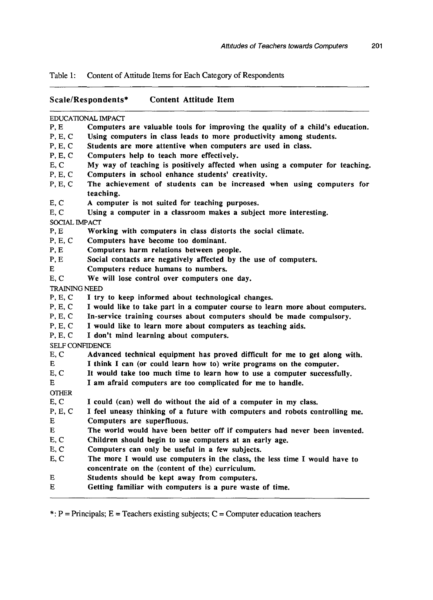Table 1: Content of Attitude Items for Each Category of Respondents

|                        | Scale/Respondents*<br><b>Content Attitude Item</b>                             |
|------------------------|--------------------------------------------------------------------------------|
|                        | EDUCATIONAL IMPACT                                                             |
| P, E                   | Computers are valuable tools for improving the quality of a child's education. |
| P, E, C                | Using computers in class leads to more productivity among students.            |
| P, E, C                | Students are more attentive when computers are used in class.                  |
| P, E, C                | Computers help to teach more effectively.                                      |
| E, C                   | My way of teaching is positively affected when using a computer for teaching.  |
| P, E, C                | Computers in school enhance students' creativity.                              |
| P, E, C                | The achievement of students can be increased when using computers for          |
|                        | teaching.                                                                      |
| E, C                   | A computer is not suited for teaching purposes.                                |
| E, C                   | Using a computer in a classroom makes a subject more interesting.              |
| <b>SOCIAL IMPACT</b>   |                                                                                |
| P, E                   | Working with computers in class distorts the social climate.                   |
| P, E, C                | Computers have become too dominant.                                            |
| P, E                   | Computers harm relations between people.                                       |
| P, E                   | Social contacts are negatively affected by the use of computers.               |
| E                      | Computers reduce humans to numbers.                                            |
| E, C                   | We will lose control over computers one day.                                   |
| <b>TRAINING NEED</b>   |                                                                                |
| P, E, C                | I try to keep informed about technological changes.                            |
| P, E, C                | I would like to take part in a computer course to learn more about computers.  |
| P, E, C                | In-service training courses about computers should be made compulsory.         |
| P, E, C                | I would like to learn more about computers as teaching aids.                   |
| P, E, C                | I don't mind learning about computers.                                         |
| <b>SELF CONFIDENCE</b> |                                                                                |
| E, C                   | Advanced technical equipment has proved difficult for me to get along with.    |
| Е                      | I think I can (or could learn how to) write programs on the computer.          |
| E.C                    | It would take too much time to learn how to use a computer successfully.       |
| Е                      | I am afraid computers are too complicated for me to handle.                    |
| <b>OTHER</b>           |                                                                                |
| E.C                    | I could (can) well do without the aid of a computer in my class.               |
| P, E, C                | I feel uneasy thinking of a future with computers and robots controlling me.   |
| Ε                      | Computers are superfluous.                                                     |
| Е                      | The world would have been better off if computers had never been invented.     |
| E, C                   | Children should begin to use computers at an early age.                        |
| E, C                   | Computers can only be useful in a few subjects.                                |
| E, C                   | The more I would use computers in the class, the less time I would have to     |
|                        | concentrate on the (content of the) curriculum.                                |
| Ε                      | Students should be kept away from computers.                                   |
| Ε                      | Getting familiar with computers is a pure waste of time.                       |

\*:  $P = Principals$ ;  $E = Teachers$  existing subjects;  $C = Computer education$  teachers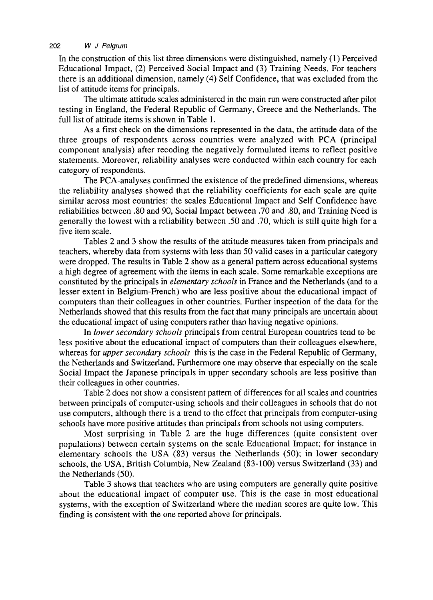### 202 *W J Pelgrum*

In the construction of this list three dimensions were distinguished, namely (1) Perceived Educational Impact, (2) Perceived Social Impact and (3) Training Needs. For teachers there is an additional dimension, namely (4) Self Confidence, that was excluded from the list of attitude items for principals.

The ultimate attitude scales administered in the main run were constructed after pilot testing in England, the Federal Republic of Germany, Greece and the Netherlands. The full list of attitude items is shown in Table 1.

As a first check on the dimensions represented in the data, the attitude data of the three groups of respondents across countries were analyzed with PCA (principal component analysis) after recoding the negatively formulated items to reflect positive statements. Moreover, reliability analyses were conducted within each country for each category of respondents.

The PCA-analyses confirmed the existence of the predefined dimensions, whereas the reliability analyses showed that the reliability coefficients for each scale are quite similar across most countries: the scales Educational Impact and Self Confidence have reliabilities between .80 and 90, Social Impact between .70 and .80, and Training Need is generally the lowest with a reliability between .50 and .70, which is still quite high for a five item scale.

Tables 2 and 3 show the results of the attitude measures taken from principals and teachers, whereby data from systems with less than 50 valid cases in a particular category were dropped. The results in Table 2 show as a general pattern across educational systems a high degree of agreement with the items in each scale. Some remarkable exceptions are constituted by the principals in *elementary schools* in France and the Netherlands (and to a lesser extent in Belgium-French) who are less positive about the educational impact of computers than their colleagues in other countries. Further inspection of the data for the Netherlands showed that this results from the fact that many principals are uncertain about the educational impact of using computers rather than having negative opinions.

In *lower secondary schools* principals from central European countries tend to be less positive about the educational impact of computers than their colleagues elsewhere, whereas for *upper secondary schools* this is the case in the Federal Republic of Germany, the Netherlands and Switzerland. Furthermore one may observe that especially on the scale Social Impact the Japanese principals in upper secondary schools are less positive than their colleagues in other countries.

Table 2 does not show a consistent pattern of differences for all scales and countries between principals of computer-using schools and their colleagues in schools that do not use computers, although there is a trend to the effect that principals from computer-using schools have more positive attitudes than principals from schools not using computers.

Most surprising in Table 2 are the huge differences (quite consistent over populations) between certain systems on the scale Educational Impact: for instance in elementary schools the USA (83) versus the Netherlands (50); in lower secondary schools, the USA, British Columbia, New Zealand (83-100) versus Switzerland (33) and the Netherlands (50).

Table 3 shows that teachers who are using computers are generally quite positive about the educational impact of computer use. This is the case in most educational systems, with the exception of Switzerland where the median scores are quite low. This finding is consistent with the one reported above for principals.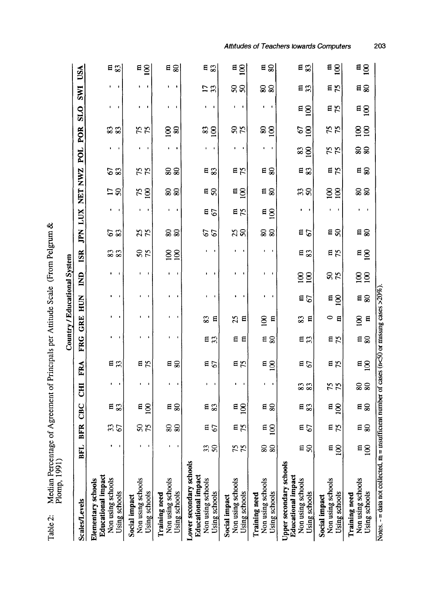Median Percentage of Agreement of Principals per Attitude Scale (From Pelgrum & Plomp, 1991) Median Percentage of Agreement of Principals per Attitude Scale (From Pelgrum & Plomp, 1991) Table 2:

|                                                                                            |                   |                         |                |                         |                                                          |             |                    |                         | Country / Educational System |                |               |                         |                 |             |                |                                      |                         |                  |               |
|--------------------------------------------------------------------------------------------|-------------------|-------------------------|----------------|-------------------------|----------------------------------------------------------|-------------|--------------------|-------------------------|------------------------------|----------------|---------------|-------------------------|-----------------|-------------|----------------|--------------------------------------|-------------------------|------------------|---------------|
| <b>Scales/Levels</b>                                                                       | BFL               | BFR                     | CBC            | EED                     | <b>FRA</b>                                               | FRG GRE     |                    | HUN                     | $\overline{R}$               | <b>ISR</b>     | <b>TPN</b>    | LUX                     | NET NWZ         |             | $P_{01}$       | POR                                  | <b>SLO</b>              | <b>SWI</b>       | USA           |
| Educational impact<br>Non using schools<br>Elementary schools<br>Using schools             |                   | 33 <sub>5</sub>         | $E_{33}$       | $\mathbf{r}=\mathbf{r}$ | $E \approx$                                              |             |                    |                         |                              | 83             | 63            | ٠                       | $\frac{25}{11}$ | <b>63</b>   |                | 83                                   | $\mathbf{I}=\mathbf{I}$ |                  | $E_{\infty}$  |
| Non using schools<br>Using schools<br>Social impact                                        |                   | 50 <sub>5</sub>         | $E_{\text{S}}$ |                         | $E\lesssim$                                              |             |                    |                         | $\blacksquare$               | 55             | 25<br>75      |                         | $\frac{18}{2}$  | 75          |                | 52                                   |                         |                  | $rac{8}{2}$   |
| Non using schools<br>Using schools<br>Training need                                        |                   | $\frac{8}{8}$           | $E_{\infty}$   |                         | $E_{\infty}$                                             | ı.          | t.                 | ٠                       | $\mathbf{I}=\mathbf{I}$      | $rac{8}{2}$    | 28            | $\mathbf{L}$            | 88              | 28          |                | $\overline{\mathbf{g}}$ $\mathbf{g}$ |                         |                  | e S           |
| Lower secondary schools<br>Educational impact<br>Non using schools<br>Using schools        | $\frac{33}{50}$   | $\frac{5}{6}$           | $E \otimes$    | $\mathbf{I}=\mathbf{I}$ | $\frac{1}{6}$                                            | $E \approx$ | <u>జ</u> ≊         | $\mathbf{I}=\mathbf{I}$ |                              |                | 29            | $E$ <sup>2</sup>        | E S             | $rac{1}{8}$ |                | $\frac{83}{2}$                       |                         | 17 <sub>33</sub> | $E_{33}$      |
| Non using schools<br>Using schools<br>Social impact                                        | 75                | $\frac{1}{2}$           | $rac{8}{2}$    | $\sim$                  | $E\overline{z}$                                          | 目目          | ្ស គ               |                         |                              |                | 35            | $\frac{1}{2}$           | $\frac{8}{1}$   | $m \geq 2$  |                | $\frac{25}{25}$                      |                         | 58               | $rac{8}{5}$   |
| Non using schools<br>Using schools<br>Training need                                        | $80\,$<br>80      | $E_{\rm \underline{S}}$ | $E \approx$    | $\blacksquare$          | $rac{8}{5}$                                              | $E \approx$ | $rac{8}{5}$        |                         |                              | 1              | 28            | $rac{8}{10}$            | $E \approx$     | $E \approx$ |                | $\frac{88}{2}$                       |                         | $\frac{8}{8}$    | $E \approx$   |
| Upper secondary schools<br><b>Educational impact</b><br>Non using schools<br>Using schools | Ε<br>50           | 56                      | $E_{\infty}$   | 83                      | 56                                                       | $E_{33}$    | 83<br>$\mathbf{E}$ | $E \n\Omega$            | $rac{88}{100}$               | $E_{33}$       | $\frac{6}{6}$ | $\mathbf{r}=\mathbf{r}$ | 33 <sub>o</sub> | $E \otimes$ | $\frac{33}{2}$ | $\frac{67}{6}$                       | $E_{\rm \underline{S}}$ | $E \mathfrak{B}$ | $E \approx$   |
| Non using schools<br>Using schools<br>Social impact                                        | Ε<br>100          | ロ<br>カ                  | $\frac{8}{2}$  | 75                      | $\frac{25}{25}$                                          | E X         | $\circ$ a          | $\frac{8}{2}$           | <b>SK</b>                    | $\frac{m}{2}$  | <b>គ</b> ន    | Ù.                      | <u>ន្ទន</u>     | π           | 75             | 75                                   | ΞŹ                      | ΞŹ               | $rac{8}{2}$   |
| Non using schools<br>Using schools<br>Training need                                        | E<br>$\mathbf{8}$ | 日 않                     | $E \otimes$    | 28                      | $\frac{8}{10}$                                           | $E \approx$ | $rac{8}{5}$ E      | $E \approx$             | 88                           | $\frac{8}{10}$ | $E \approx$   |                         | ន្ល             | $E \approx$ | 28             | <u>ន្ទ</u>                           | $E_{\rm 2}$             | $E \approx$      | $\frac{8}{1}$ |
| Notes. $-$ = data not collected, $m = n$                                                   |                   |                         |                |                         | nsufficient number of cases (n<50 or missing cases >20%) |             |                    |                         |                              |                |               |                         |                 |             |                |                                      |                         |                  |               |

**Attitudes of Teachers towards Computers**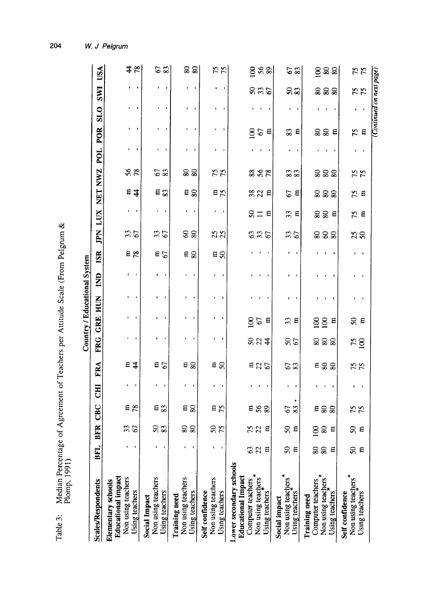|                                                                |                      |                 |                      |                            |              |                 |                             |                                                      | Country / Educational System |                                |                 |                            |                           |                 |                                  |                              |                         |                                 |                 |
|----------------------------------------------------------------|----------------------|-----------------|----------------------|----------------------------|--------------|-----------------|-----------------------------|------------------------------------------------------|------------------------------|--------------------------------|-----------------|----------------------------|---------------------------|-----------------|----------------------------------|------------------------------|-------------------------|---------------------------------|-----------------|
| <b>Scales/Respondents</b>                                      | BFL                  | <b>BFR</b>      | CBC                  | E                          | <b>FRA</b>   | <b>FRG</b>      |                             | <b>GRE HUN</b>                                       | <b>QNI</b>                   | ISR                            | JPN             | LUX                        | NET NWZ POL               |                 |                                  | POR                          | SLO                     | SWI                             | <b>USA</b>      |
| Educational impact<br>Non using teachers<br>Elementary schools |                      | $\frac{33}{67}$ | $E \approx$          |                            | $E \neq$     |                 |                             |                                                      |                              |                                | 35              |                            |                           | 56              |                                  |                              |                         |                                 |                 |
| Using teachers                                                 |                      |                 |                      | $\mathbf{I}=\mathbf{I}$    |              |                 | $\mathbf{f} = -\mathbf{f}$  | $\mathbf{r} = \mathbf{r}$<br>$\mathbf{r}=\mathbf{r}$ | $\mathbf{r} = \mathbf{r}$    | $E \approx$                    |                 | $\mathbf{I}=\mathbf{I}$    | $E \neq$                  |                 | $\mathbf{I}=\mathbf{I}$          | $\mathbf{I}=\mathbf{I}$      | $\mathbf{1}=\mathbf{1}$ |                                 | $4\,\mathrm{g}$ |
| Non using teachers<br>Using teachers<br>Social Impact          |                      | $\frac{58}{25}$ | $E \gg$              | $1 - 1$                    | $E \n\Omega$ |                 | ٠<br>$\ddot{\phantom{1}}$   | ٠                                                    |                              | $\frac{6}{6}$                  | 33              | $\mathbf{r} = -\mathbf{r}$ | $E_{33}$                  | $5\,\mathrm{m}$ | $\mathcal{A}$                    | ٠<br>$\blacksquare$          |                         |                                 | <b>623</b>      |
| Non using teachers<br>Using teachers<br>Training need          |                      | 88              | $E^{\circ}_{\infty}$ | $\mathbf{r}=\mathbf{r}$    | E 2          |                 | ٠                           |                                                      | $\Gamma = -1$                | $E \approx$                    | 88              | $\mathbf{1}=\mathbf{1}$    | $E_{\infty}$              | 28              | $\mathbf{r}$<br>$\mathcal{A}$    | $\mathbf{I}$<br>$\sim$ 1     | $\mathbf{r}=\mathbf{r}$ | $\blacksquare$<br>$\sim$ 1<br>٠ | នន              |
| Non using teachers<br>Using teachers<br>Self confidence        |                      | $\frac{25}{25}$ | $E_{\overline{2}}$   | $\mathbf{a} = \mathbf{a}$  | E S          |                 |                             | $\mathbf{I}$                                         | $\mathbf{I}=\mathbf{I}$      | E S                            | 25              | $\mathbf{r} = \mathbf{r}$  | $\mathbb{E}$ $\mathbb{Z}$ | $\frac{52}{5}$  | ٠<br>$\sim$ 1                    | $\mathbf{I}$<br>$\mathbf{I}$ | ٠<br>$\mathbf{I}$       | ٠<br>$\mathbf{I}$               | 75              |
| Lower secondary schools<br><b>Educational Impact</b>           |                      |                 |                      |                            |              |                 |                             |                                                      |                              |                                |                 |                            |                           |                 |                                  |                              |                         |                                 |                 |
| Non using teachers*<br>Using teachers*<br>Computer teachers    | 63<br>$\overline{c}$ | <b>72 m</b>     | ≅ > ຂ                | $\mathbf{1}=\mathbf{1}$    | E 2E         | នឧ#             | $\bar{S}$ $\geq$ $\epsilon$ |                                                      |                              | $\sim 1-1$                     | ຮສຣ             | $S = E$                    | 32F                       | 8888            | $\sim 1$ , $\sim 1$              | 82E                          | $\mathbf{1}$<br>$\sim$  | ສສຣ                             | 8.88            |
|                                                                | $\Xi$                |                 |                      |                            |              |                 |                             |                                                      |                              |                                |                 |                            |                           |                 |                                  |                              | $\sim$ 1                |                                 |                 |
| Non using teachers*<br>Using teachers<br>Social impact         | $\overline{50}$<br>E | ន្ល ៩           | 67                   | $\mathbf{t} = -\mathbf{t}$ | <b>62</b>    | $\frac{20}{50}$ | $32 \text{ m}$              | $\blacksquare$<br>٠                                  |                              | $\mathbf{I}$<br>$\blacksquare$ | $\frac{33}{67}$ | $35 \, \mathrm{m}$         | <b>ទ</b> ជ                | $\frac{83}{83}$ | $\mathbf{E} = \mathbf{E}$        | <b>ទ</b> ៩                   | $\mathbf{I}=\mathbf{I}$ | 53                              | 53              |
| Computer teachers<br>Training need                             | $\frac{80}{28}$      |                 |                      |                            |              |                 |                             |                                                      |                              |                                |                 |                            |                           |                 | ×.                               |                              | ٠                       |                                 |                 |
| Non using teachers<br>Using teachers                           | $\Xi$                | $88$ E          | $E \approx S$        | $1 - 1$                    | ឨៜៜ          | ខនន             | 88 F                        |                                                      |                              | $\blacksquare$<br>J.           | នទន             | នន ¤                       | ននន                       | ននន             | $\blacksquare$<br>$\blacksquare$ | នន ៩                         | $\blacksquare$<br>ı.    | ននន                             | 888             |
| Non using teachers*<br>Self confidence<br>Using teachers       | $50\,$<br>E          | ្ល ៩            | 75                   | $\mathbf{I}=\mathbf{I}$    | 75           | $\frac{18}{5}$  |                             |                                                      | $\mathcal{L}_{\mathcal{A}}$  | $\mathbf{r} = \mathbf{a}$      | $\frac{25}{50}$ | 75<br>17                   | バロ                        | 75<br>75        | $\mathbf{I}=\mathbf{I}$          | $\frac{m}{2}$                | $\mathbf{r}=\mathbf{t}$ | 75                              | 75<br>75        |
|                                                                |                      |                 |                      |                            |              |                 |                             |                                                      |                              |                                |                 |                            |                           |                 |                                  |                              | Continued on next page  |                                 |                 |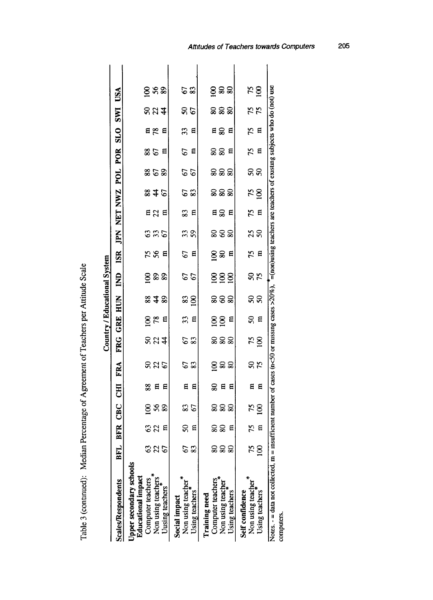| 4                                              |
|------------------------------------------------|
|                                                |
|                                                |
|                                                |
| į<br>֠                                         |
| ı                                              |
| ١<br>j                                         |
|                                                |
|                                                |
|                                                |
| ֦֚֚֬֝֕֝֬֝֬֝֬֝֬֝֬֝֬֝֬֝֓֬֝֬֝֬֝֬֝֬֝֬֝֬֝֬֝֓֬֝֬֝֬֝֬ |
|                                                |
| $\vdots$<br>ļ<br>I                             |

|                                                          |           |               |            |     |                                                          |              |             |                 | Country / Educational System |            |                 |                                                                         |                |            |               |             |               |              |
|----------------------------------------------------------|-----------|---------------|------------|-----|----------------------------------------------------------|--------------|-------------|-----------------|------------------------------|------------|-----------------|-------------------------------------------------------------------------|----------------|------------|---------------|-------------|---------------|--------------|
| <b>Scales/Respondents</b>                                | BFL       | BFR           | <b>CBC</b> | CНI | <b>FRA</b>                                               | <b>FRG</b>   | GRE         | HUN             | $\mathbf{\hat{z}}$           | <b>ISR</b> |                 | JPN NET NWZ POL POR SLO                                                 |                |            |               |             | SWI           | USA          |
| Upper secondary schools<br>Educational impact            |           |               |            |     |                                                          |              |             |                 |                              |            |                 |                                                                         |                |            |               |             |               |              |
| Computer teachers                                        |           |               |            | 88  |                                                          |              |             |                 |                              |            |                 |                                                                         |                |            | $\frac{2}{8}$ |             |               |              |
| Non using teachers                                       | <b>32</b> | $\frac{2}{3}$ | 852        |     | ននទ                                                      | នន#          | gge e       | $88$ 4 $89$     | 888                          | 56         | ೦೫೦             | ∈ ឌ ∈                                                                   | %34            | <b>252</b> |               | $E \approx$ | នន#           | <u>ទ</u> នេះ |
| Uusing teachers'                                         | 67        | Е             |            | 目目  |                                                          |              |             |                 |                              | ᄐ          |                 |                                                                         |                |            | 톱             | E           |               |              |
| Non using teacher<br>Social impact                       | 67        | S             | 83         | Е   |                                                          |              | 33          | 83              |                              | 2          | 33 <sub>o</sub> | 83                                                                      | 63<br>83       | 67<br>67   | 2             | 33          | $\frac{2}{5}$ | 2            |
| Jsing teachers                                           | 83        | Е             | 67         | 둅   | 63<br>83                                                 | 63           | Е           | $\mathbf{8}$    | 29                           | Е          |                 | Е                                                                       |                |            | Е             | 日           |               | 83           |
| Computer teachers<br>Training need                       |           |               |            | 80  | 8                                                        |              |             |                 |                              |            |                 |                                                                         |                |            |               |             |               |              |
| Non using teacher                                        | ន្ល       | ន្ល           | ននន        | 日   |                                                          | ននន          | <u>ន្ទន</u> | នទន             | 888                          | <u>ទ្ធ</u> | នខន             | ឨៜ                                                                      | ននន            | ននន        | ន្ល           | $E \approx$ | ននន           | <u>ទី ឌន</u> |
| Jsing teachers                                           | æ         | Е             |            | 日   | 88                                                       |              | Е           |                 |                              | ᄐ          |                 | Ε                                                                       |                |            | Е             | Е           |               |              |
| Non using teacher<br>Self confidence                     | 75        | 75            | 75         | Ε   |                                                          | 52           |             |                 |                              | 51         |                 | 51                                                                      |                |            | 51            | 51          |               |              |
| Jsing teachers                                           | g         | 톱             | 8          | 톱   | <b>ST</b>                                                | $\mathbf{8}$ | ន្ត ∈       | $\frac{50}{50}$ | $\frac{25}{25}$              | 目          | $\frac{25}{50}$ | ᄐ                                                                       | $\frac{18}{5}$ | នន         | Е             | Е           | 75            | <u>یع</u>    |
| Notes. $-$ = data not collected, $m$ = $m$<br>computers. |           |               |            |     | sufficient number of cases (n<50 or missing cases >20%), |              |             |                 |                              |            |                 | =(non)using teachers are teachers of existing subjects who do (not) use |                |            |               |             |               |              |

205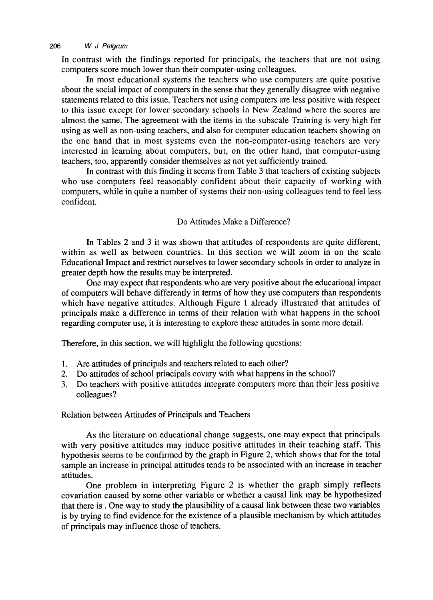### *206 W J Pelgrum*

In contrast with the findings reported for principals, the teachers that are not using computers score much lower than their computer-using colleagues.

In most educational systems the teachers who use computers are quite positive about the social impact of computers in the sense that they generally disagree with negative statements related to this issue. Teachers not using computers are less positive with respect to this issue except for lower secondary schools in New Zealand where the scores are almost the same. The agreement with the items in the subscale Training is very high for using as well as non-using teachers, and also for computer education teachers showing on the one hand that in most systems even the non-computer-using teachers are very interested in learning about computers, but, on the other hand, that computer-using teachers, too, apparently consider themselves as not yet sufficiently trained.

In contrast with this finding it seems from Table 3 that teachers of existing subjects who use computers feel reasonably confident about their capacity of working with computers, while in quite a number of systems their non-using colleagues tend to feel less confident.

# Do Attitudes Make a Difference?

In Tables 2 and 3 it was shown that attitudes of respondents are quite different, within as well as between countries. In this section we will zoom in on the scale Educational Impact and restrict ourselves to lower secondary schools in order to analyze in greater depth how the results may be interpreted.

One may expect that respondents who are very positive about the educational impact of computers will behave differently in terms of how they use computers than respondents which have negative attitudes. Although Figure 1 already illustrated that attitudes of principals make a difference in terms of their relation with what happens in the school regarding computer use, it is interesting to explore these attitudes in some more detail.

Therefore, in this section, we will highlight the following questions:

- 1. Are attitudes of principals and teachers related to each other?
- 2. Do attitudes of school principals covary with what happens in the school?
- 3. Do teachers with positive attitudes integrate computers more than their less positive colleagues?

# Relation between Attitudes of Principals and Teachers

As the literature on educational change suggests, one may expect that principals with very positive attitudes may induce positive attitudes in their teaching staff. This hypothesis seems to be confirmed by the graph in Figure 2, which shows that for the total sample an increase in principal attitudes tends to be associated with an increase in teacher attitudes.

One problem in interpreting Figure 2 is whether the graph simply reflects covariation caused by some other variable or whether a causal link may be hypothesized that there is. One way to study the plausibility of a causal link between these two variables is by trying to find evidence for the existence of a plausible mechanism by which attitudes of principals may influence those of teachers.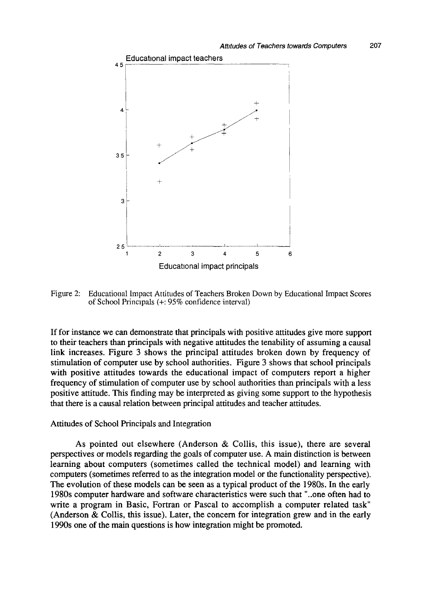207



Figure 2: Educational Impact Attitudes of Teachers Broken Down by Educational Impact Scores of School Principals (+: 95% confidence interval)

If for instance we can demonstrate that principals with positive attitudes give more support to their teachers than principals with negative attitudes the tenability of assuming a causal link increases. Figure 3 shows the principal attitudes broken down by frequency of stimulation of computer use by school authorities. Figure 3 shows that school principals with positive attitudes towards the educational impact of computers report a higher frequency of stimulation of computer use by school authorities than principals with a less positive attitude. This finding may be interpreted as giving some support to the hypothesis that there is a causal relation between principal attitudes and teacher attitudes.

### Attitudes of School Principals and Integration

As pointed out elsewhere (Anderson & Collis, this issue), there are several perspectives or models regarding the goals of computer use. A main distinction is between learning about computers (sometimes called the technical model) and learning with computers (sometimes referred to as the integration model or the functionality perspective). The evolution of these models can be seen as a typical product of the 1980s. In the early 1980s computer hardware and software characteristics were such that "..one often had to write a program in Basic, Fortran or Pascal to accomplish a computer related task" (Anderson & Collis, this issue). Later, the concern for integration grew and in the early 1990s one of the main questions is how integration might be promoted.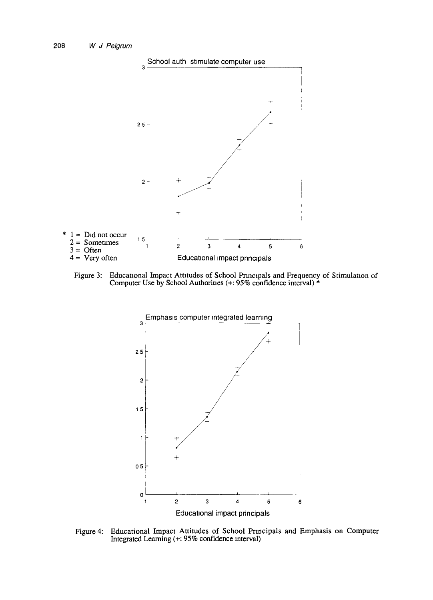





Figure 4: Educational Impact Attitudes of School Pnncipals and Emphasis on Computer Integrated Learning (+: 95% confidence interval)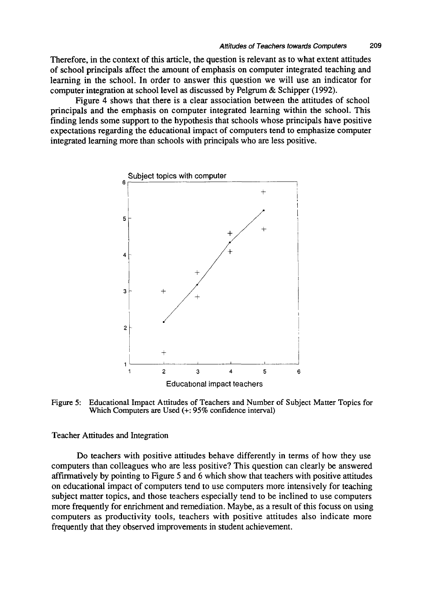Therefore, in the context of this article, the question is relevant as to what extent attitudes of school principals affect the amount of emphasis on computer integrated teaching and learning in the school. In order to answer this question we will use an indicator for computer integration at school level as discussed by Pelgrum & Schipper (1992).

Figure 4 shows that there is a clear association between the attitudes of school principals and the emphasis on computer integrated learning within the school. This finding lends some support to the hypothesis that schools whose principals have positive expectations regarding the educational impact of computers tend to emphasize computer integrated learning more than schools with principals who are less positive.



Figure 5: Educational Impact Attitudes of Teachers and Number of Subject Matter Topics for Which Computers are Used (+: 95% confidence interval)

# Teacher Attitudes and Integration

Do teachers with positive attitudes behave differently in terms of how they use computers than colleagues who are less positive? This question can clearly be answered affirmatively by pointing to Figure 5 and 6 which show that teachers with positive attitudes on educational impact of computers tend to use computers more intensively for teaching subject matter topics, and those teachers especially tend to be inclined to use computers more frequently for enrichment and remediation. Maybe, as a result of this focuss on using computers as productivity tools, teachers with positive attitudes also indicate more frequently that they observed improvements in student achievement.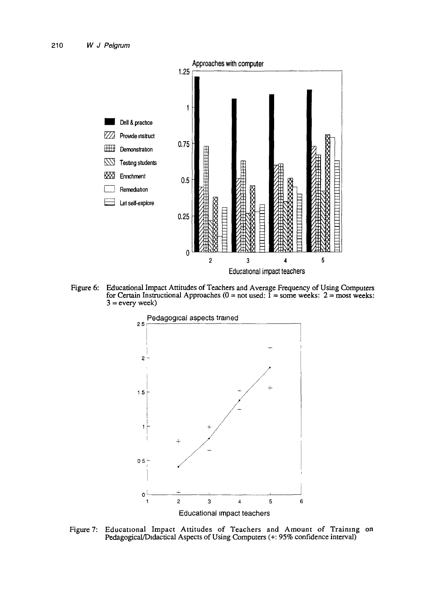

Figure 6: Educational Impact Attitudes of Teachers and Average Frequency of Using Computers for Certain Instructional Approaches ( $0 = not used$ :  $\tilde{1} = some weeks$ :  $2 = most weeks$ :  $3 =$  every week)



Figure 7: Educatronal Impact Attitudes of Teachers and Amount of Training on Pedagogical/Didactical Aspects of Using Computers (+: 95% confidence interval)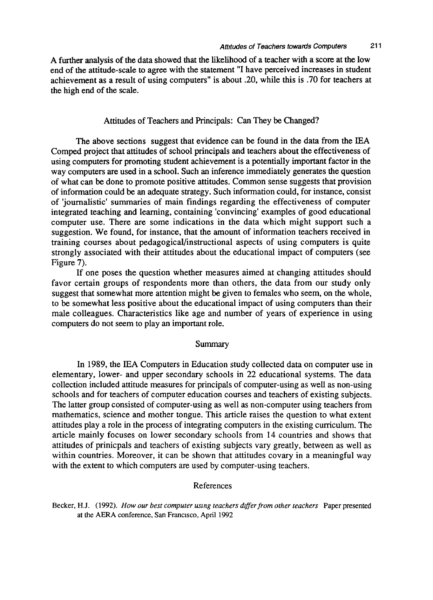A further analysis of the data showed that the likelihood of a teacher with a score at the low end of the attitude-scale to agree with the statement "I have perceived increases in student achievement as a result of using computers" is about .20, while this is .70 for teachers at the high end of the scale.

# Attitudes of Teachers and Principals: Can They be Changed?

The above sections suggest that evidence can be found in the data from the IEA Comped project that attitudes of school principals and teachers about the effectiveness of using computers for promoting student achievement is a potentially important factor in the way computers are used in a school. Such an inference immediately generates the question of what can be done to promote positive attitudes. Common sense suggests that provision of information could be an adequate strategy. Such information could, for instance, consist of 'journalistic' summaries of main findings regarding the effectiveness of computer integrated teaching and learning, containing 'convincing' examples of good educational computer use. There are some indications in the data which might support such a suggestion. We found, for instance, that the amount of information teachers received in training courses about pedagogical/instructional aspects of using computers is quite strongly associated with their attitudes about the educational impact of computers (see Figure 7).

If one poses the question whether measures aimed at changing attitudes should favor certain groups of respondents more than others, the data from our study only suggest that somewhat more attention might be given to females who seem, on the whole, to be somewhat less positive about the educational impact of using computers than their male colleagues. Characteristics like age and number of years of experience in using computers do not seem to play an important role.

# Summary

In 1989, the IEA Computers in Education study collected data on computer use in elementary, lower- and upper secondary schools in 22 educational systems. The data collection included attitude measures for principals of computer-using as well as non-using schools and for teachers of computer education courses and teachers of existing subjects. The latter group consisted of computer-using as well as non-computer using teachers from mathematics, science and mother tongue. This article raises the question to what extent attitudes play a role in the process of integrating computers in the existing curriculum. The article mainly focuses on lower secondary schools from 14 countries and shows that attitudes of prinicpals and teachers of existing subjects vary greatly, between as well as within countries. Moreover, it can be shown that attitudes covary in a meaningful way with the extent to which computers are used by computer-using teachers.

# References

Becker, H.J. (1992). *How our best computer using teachers differ from other teachers* Paper presented at the AERA conference, San Francisco, April 1992